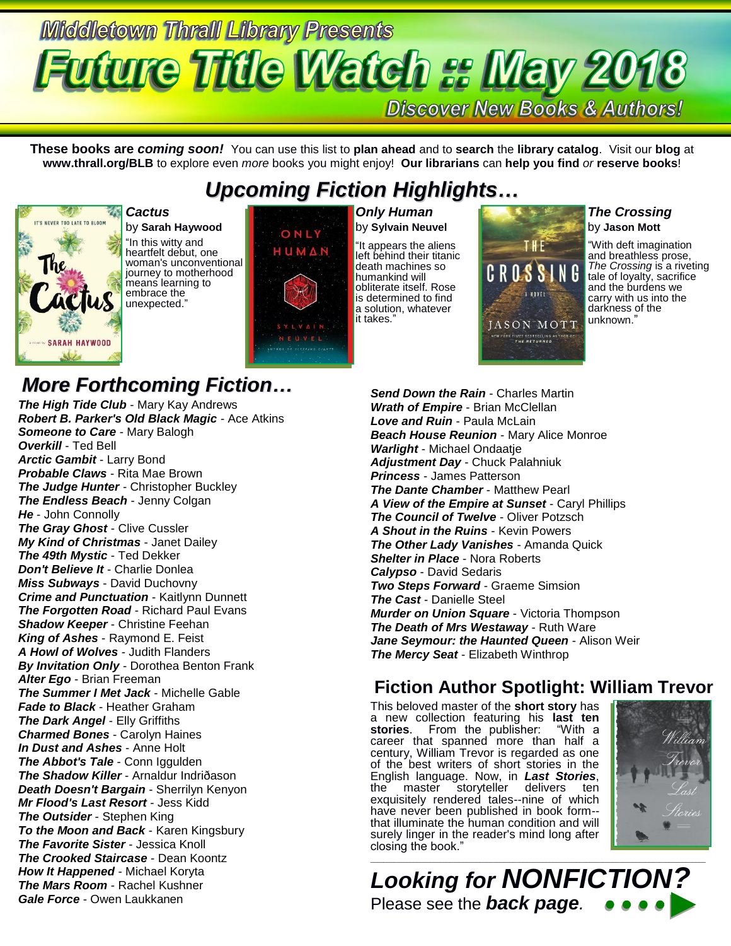# **Middletown Thrall Library Presents Future Title Watch :: May 2018 Discover New Books & Authors!**

**These books are** *coming soon!* You can use this list to **plan ahead** and to **search** the **library catalog**. Visit our **blog** at **www.thrall.org/BLB** to explore even *more* books you might enjoy! **Our librarians** can **help you find** *or* **reserve books**!

## *Upcoming Fiction Highlights…*



by **Sarah Haywood** "In this witty and heartfelt debut, one woman's unconventional journey to motherhood means learning to embrace the

*Cactus*

### *More Forthcoming Fiction…*

unexpected."

*The High Tide Club* - Mary Kay Andrews *Robert B. Parker's Old Black Magic* - Ace Atkins **Someone to Care** - Mary Balogh *Overkill* - Ted Bell *Arctic Gambit* - Larry Bond *Probable Claws* - Rita Mae Brown *The Judge Hunter* - Christopher Buckley **The Endless Beach - Jenny Colgan** *He* - John Connolly *The Gray Ghost - Clive Cussler My Kind of Christmas* - Janet Dailey *The 49th Mystic* - Ted Dekker *Don't Believe It* - Charlie Donlea *Miss Subways* - David Duchovny *Crime and Punctuation* - Kaitlynn Dunnett *The Forgotten Road* - Richard Paul Evans *Shadow Keeper* - Christine Feehan *King of Ashes* - Raymond E. Feist *A Howl of Wolves* - Judith Flanders *By Invitation Only* - Dorothea Benton Frank *Alter Ego* - Brian Freeman *The Summer I Met Jack* - Michelle Gable *Fade to Black* - Heather Graham *The Dark Angel* - Elly Griffiths *Charmed Bones* - Carolyn Haines *In Dust and Ashes* - Anne Holt **The Abbot's Tale** - Conn Iggulden *The Shadow Killer* - Arnaldur Indriðason *Death Doesn't Bargain* - Sherrilyn Kenyon *Mr Flood's Last Resort* - Jess Kidd *The Outsider* - Stephen King *To the Moon and Back* - Karen Kingsbury *The Favorite Sister* - Jessica Knoll *The Crooked Staircase* - Dean Koontz *How It Happened* - Michael Koryta *The Mars Room* - Rachel Kushner *Gale Force* - Owen Laukkanen



*Only Human* by **Sylvain Neuvel**

"It appears the aliens left behind their titanic death machines so humankind will obliterate itself. Rose is determined to find a solution, whatever it takes."

# T∦E C R OS A NOVEL **JASON MOTT** *TORK TIMES* BESTSELLING A<br>THE RETURNED

### *The Crossing* by **Jason Mott**

"With deft imagination and breathless prose, *The Crossing* is a riveting tale of loyalty, sacrifice and the burdens we carry with us into the darkness of the unknown."

*Send Down the Rain* - Charles Martin *Wrath of Empire* - Brian McClellan *Love and Ruin* - Paula McLain *Beach House Reunion* - Mary Alice Monroe *Warlight* - Michael Ondaatje *Adjustment Day* - Chuck Palahniuk *Princess* - James Patterson *The Dante Chamber* - Matthew Pearl *A View of the Empire at Sunset* - Caryl Phillips *The Council of Twelve* - Oliver Potzsch *A Shout in the Ruins* - Kevin Powers *The Other Lady Vanishes* - Amanda Quick *Shelter in Place* - Nora Roberts *Calypso* - David Sedaris *Two Steps Forward* - Graeme Simsion *The Cast* - Danielle Steel *Murder on Union Square* - Victoria Thompson *The Death of Mrs Westaway* - Ruth Ware *Jane Seymour: the Haunted Queen* - Alison Weir *The Mercy Seat* - Elizabeth Winthrop

### **Fiction Author Spotlight: William Trevor**

This beloved master of the **short story** has a new collection featuring his **last ten**  stories. From the publisher: career that spanned more than half a century, William Trevor is regarded as one of the best writers of short stories in the English language. Now, in *Last Stories*, the master storyteller exquisitely rendered tales--nine of which have never been published in book form- that illuminate the human condition and will surely linger in the reader's mind long after closing the book."



*Looking for NONFICTION?* Please see the *back page.*

\_\_\_\_\_\_\_\_\_\_\_\_\_\_\_\_\_\_\_\_\_\_\_\_\_\_\_\_\_\_\_\_\_\_\_\_\_\_\_\_\_\_\_\_\_\_\_\_\_\_\_\_\_\_\_\_\_\_\_\_\_\_\_\_\_\_\_\_\_\_\_\_\_\_\_\_\_\_\_\_\_\_\_\_\_\_\_\_\_\_\_\_\_\_\_\_\_\_\_\_\_